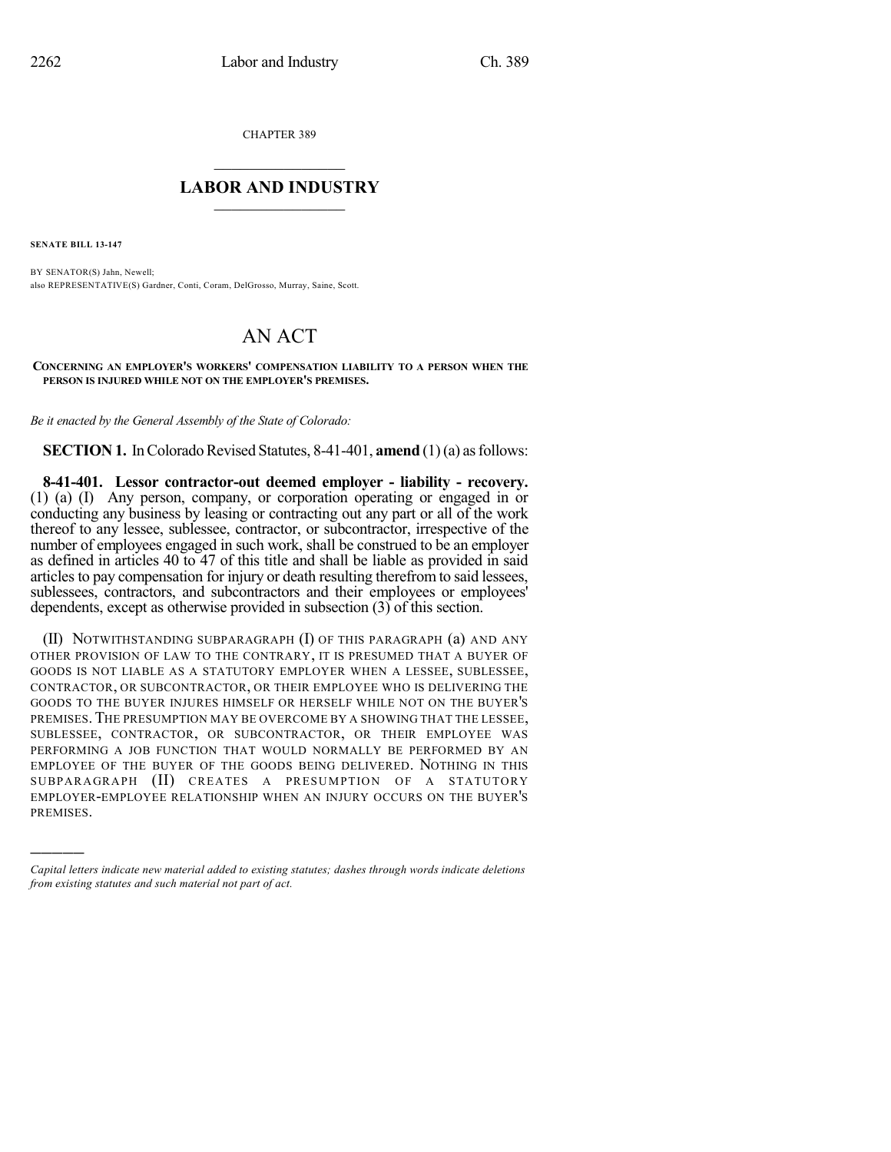CHAPTER 389

## $\overline{\phantom{a}}$  . The set of the set of the set of the set of the set of the set of the set of the set of the set of the set of the set of the set of the set of the set of the set of the set of the set of the set of the set o **LABOR AND INDUSTRY**  $\frac{1}{\sqrt{2}}$  ,  $\frac{1}{\sqrt{2}}$  ,  $\frac{1}{\sqrt{2}}$  ,  $\frac{1}{\sqrt{2}}$  ,  $\frac{1}{\sqrt{2}}$  ,  $\frac{1}{\sqrt{2}}$

**SENATE BILL 13-147**

)))))

BY SENATOR(S) Jahn, Newell; also REPRESENTATIVE(S) Gardner, Conti, Coram, DelGrosso, Murray, Saine, Scott.

## AN ACT

**CONCERNING AN EMPLOYER'S WORKERS' COMPENSATION LIABILITY TO A PERSON WHEN THE PERSON IS INJURED WHILE NOT ON THE EMPLOYER'S PREMISES.**

*Be it enacted by the General Assembly of the State of Colorado:*

**SECTION 1.** In Colorado Revised Statutes, 8-41-401, **amend** (1)(a) as follows:

**8-41-401. Lessor contractor-out deemed employer - liability - recovery.** (1) (a) (I) Any person, company, or corporation operating or engaged in or conducting any business by leasing or contracting out any part or all of the work thereof to any lessee, sublessee, contractor, or subcontractor, irrespective of the number of employees engaged in such work, shall be construed to be an employer as defined in articles 40 to 47 of this title and shall be liable as provided in said articles to pay compensation for injury or death resulting therefrom to said lessees, sublessees, contractors, and subcontractors and their employees or employees' dependents, except as otherwise provided in subsection  $(3)$  of this section.

(II) NOTWITHSTANDING SUBPARAGRAPH (I) OF THIS PARAGRAPH (a) AND ANY OTHER PROVISION OF LAW TO THE CONTRARY, IT IS PRESUMED THAT A BUYER OF GOODS IS NOT LIABLE AS A STATUTORY EMPLOYER WHEN A LESSEE, SUBLESSEE, CONTRACTOR, OR SUBCONTRACTOR, OR THEIR EMPLOYEE WHO IS DELIVERING THE GOODS TO THE BUYER INJURES HIMSELF OR HERSELF WHILE NOT ON THE BUYER'S PREMISES.THE PRESUMPTION MAY BE OVERCOME BY A SHOWING THAT THE LESSEE, SUBLESSEE, CONTRACTOR, OR SUBCONTRACTOR, OR THEIR EMPLOYEE WAS PERFORMING A JOB FUNCTION THAT WOULD NORMALLY BE PERFORMED BY AN EMPLOYEE OF THE BUYER OF THE GOODS BEING DELIVERED. NOTHING IN THIS SUBPARAGRAPH (II) CREATES A PRESUMPTION OF A STATUTORY EMPLOYER-EMPLOYEE RELATIONSHIP WHEN AN INJURY OCCURS ON THE BUYER'S PREMISES.

*Capital letters indicate new material added to existing statutes; dashes through words indicate deletions from existing statutes and such material not part of act.*